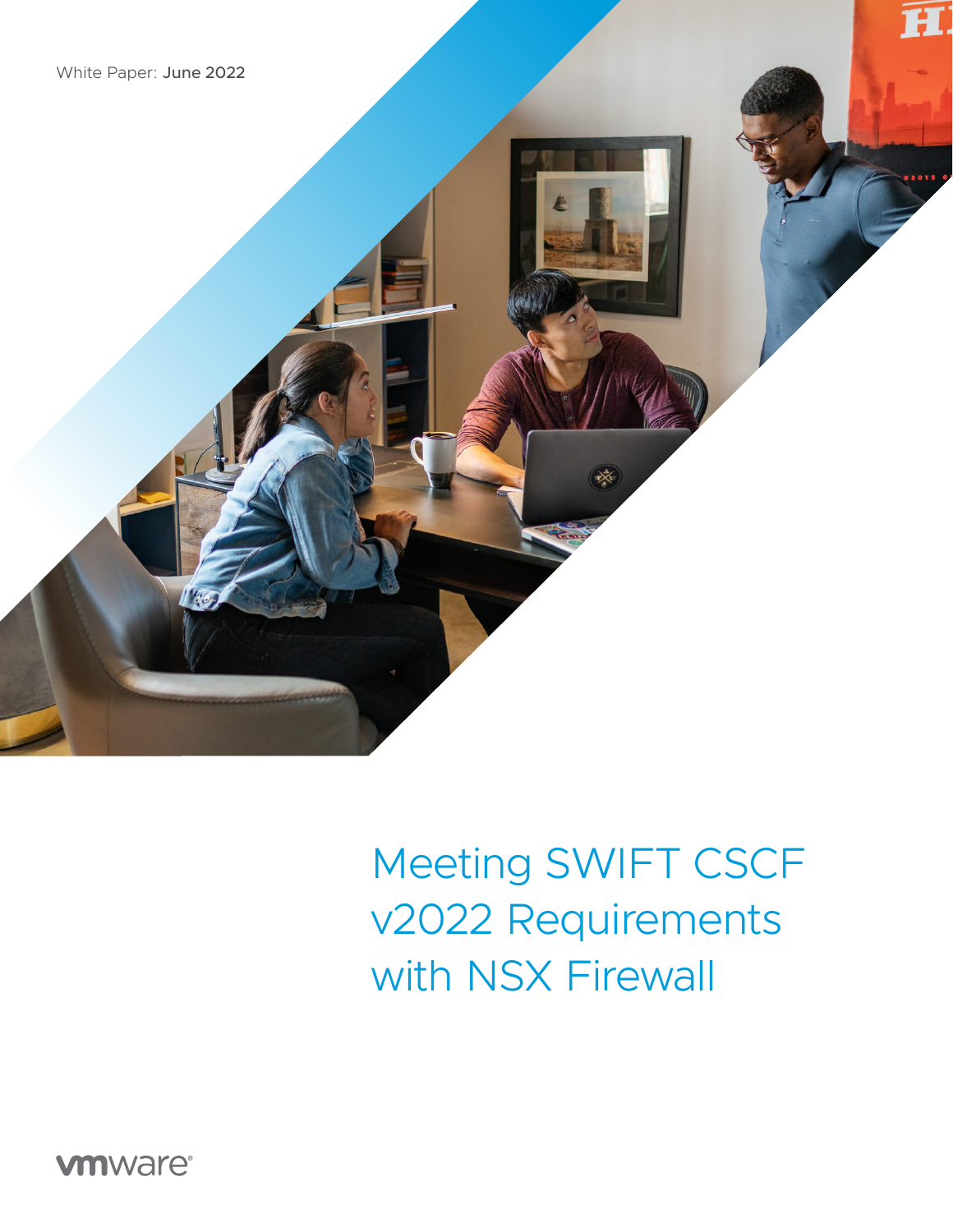White Paper: June 2022



**vm**ware<sup>®</sup>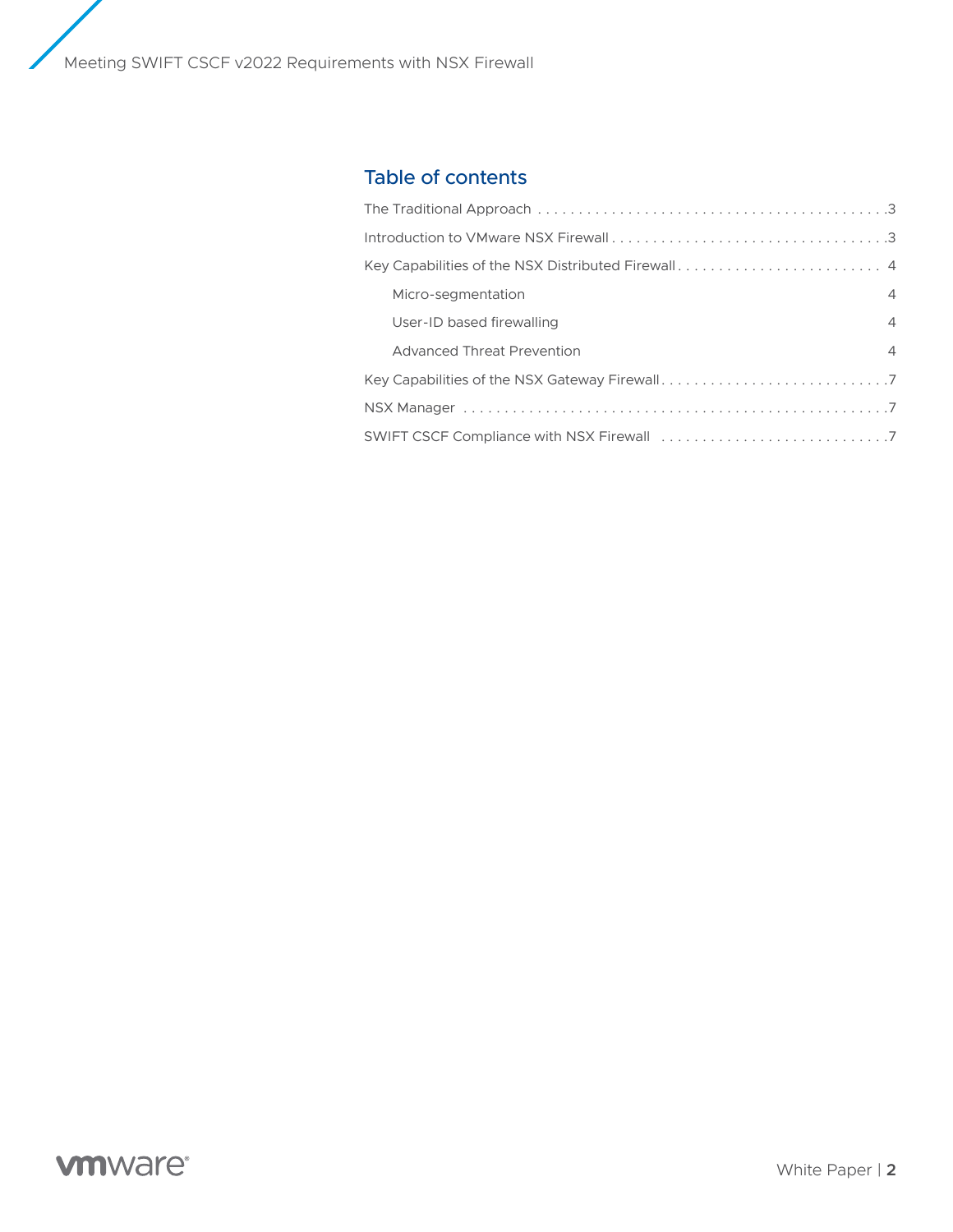Meeting SWIFT CSCF v2022 Requirements with NSX Firewall

# Table of contents

| Micro-segmentation                | $\overline{4}$ |
|-----------------------------------|----------------|
| User-ID based firewalling         | $\overline{4}$ |
| <b>Advanced Threat Prevention</b> | $\overline{4}$ |
|                                   |                |
|                                   |                |
|                                   |                |

# **vm**ware<sup>®</sup>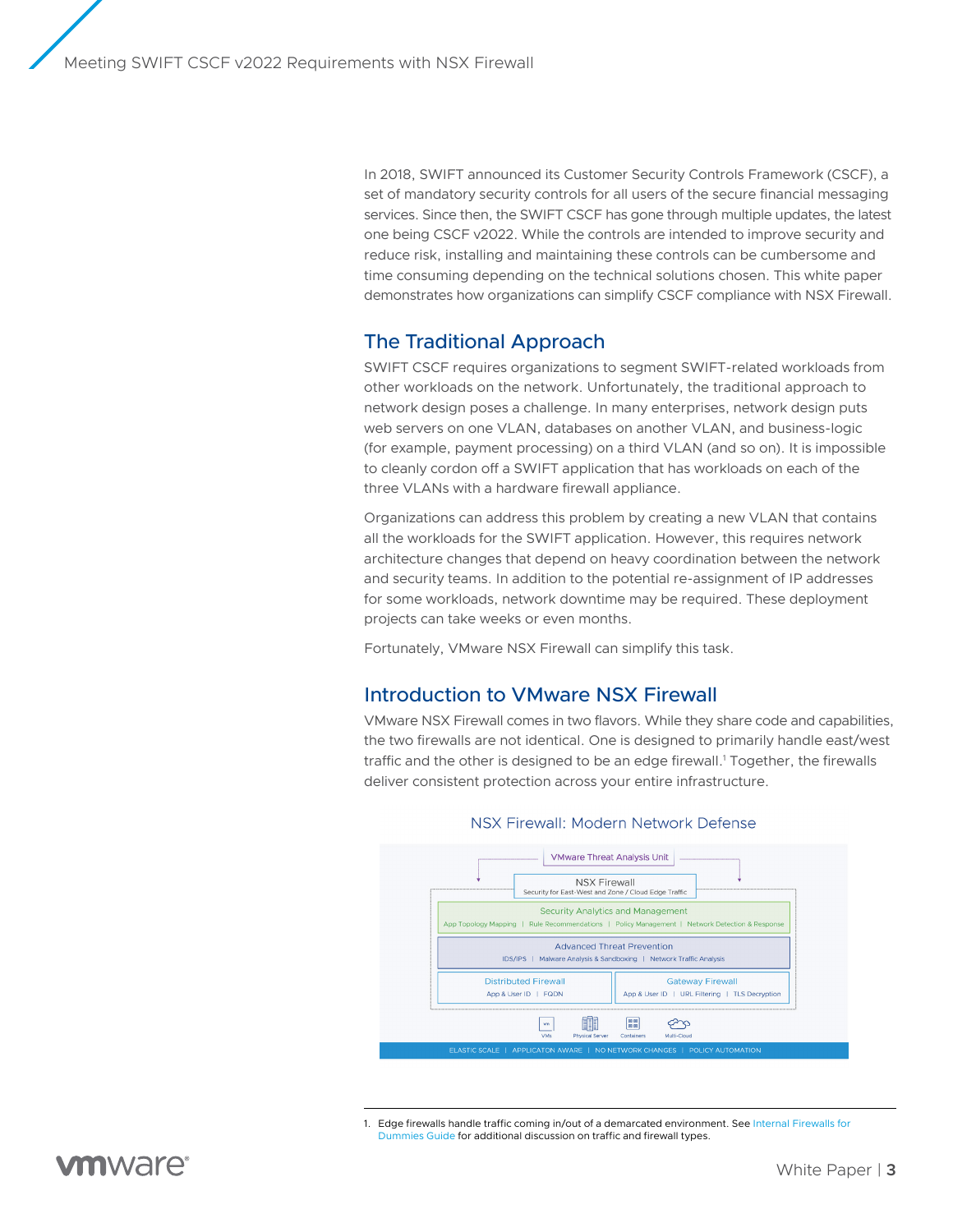<span id="page-2-0"></span>In 2018, SWIFT announced its Customer Security Controls Framework (CSCF), a set of mandatory security controls for all users of the secure financial messaging services. Since then, the SWIFT CSCF has gone through multiple updates, the latest one being CSCF v2022. While the controls are intended to improve security and reduce risk, installing and maintaining these controls can be cumbersome and time consuming depending on the technical solutions chosen. This white paper demonstrates how organizations can simplify CSCF compliance with NSX Firewall.

### The Traditional Approach

SWIFT CSCF requires organizations to segment SWIFT-related workloads from other workloads on the network. Unfortunately, the traditional approach to network design poses a challenge. In many enterprises, network design puts web servers on one VLAN, databases on another VLAN, and business-logic (for example, payment processing) on a third VLAN (and so on). It is impossible to cleanly cordon off a SWIFT application that has workloads on each of the three VLANs with a hardware firewall appliance.

Organizations can address this problem by creating a new VLAN that contains all the workloads for the SWIFT application. However, this requires network architecture changes that depend on heavy coordination between the network and security teams. In addition to the potential re-assignment of IP addresses for some workloads, network downtime may be required. These deployment projects can take weeks or even months.

Fortunately, VMware NSX Firewall can simplify this task.

### Introduction to VMware NSX Firewall

VMware NSX Firewall comes in two flavors. While they share code and capabilities, the two firewalls are not identical. One is designed to primarily handle east/west traffic and the other is designed to be an edge firewall. 1 Together, the firewalls deliver consistent protection across your entire infrastructure.



#### NSX Firewall: Modern Network Defense

<sup>1.</sup> Edge firewalls handle traffic coming in/out of a demarcated environment. See Internal Firewalls for [Dummies Guide for additional discussion on traffic and firewall types.](https://www.vmware.com/learn/656351_REG.html?cid=7012H00000Ynun&src=af_5f623c708118b)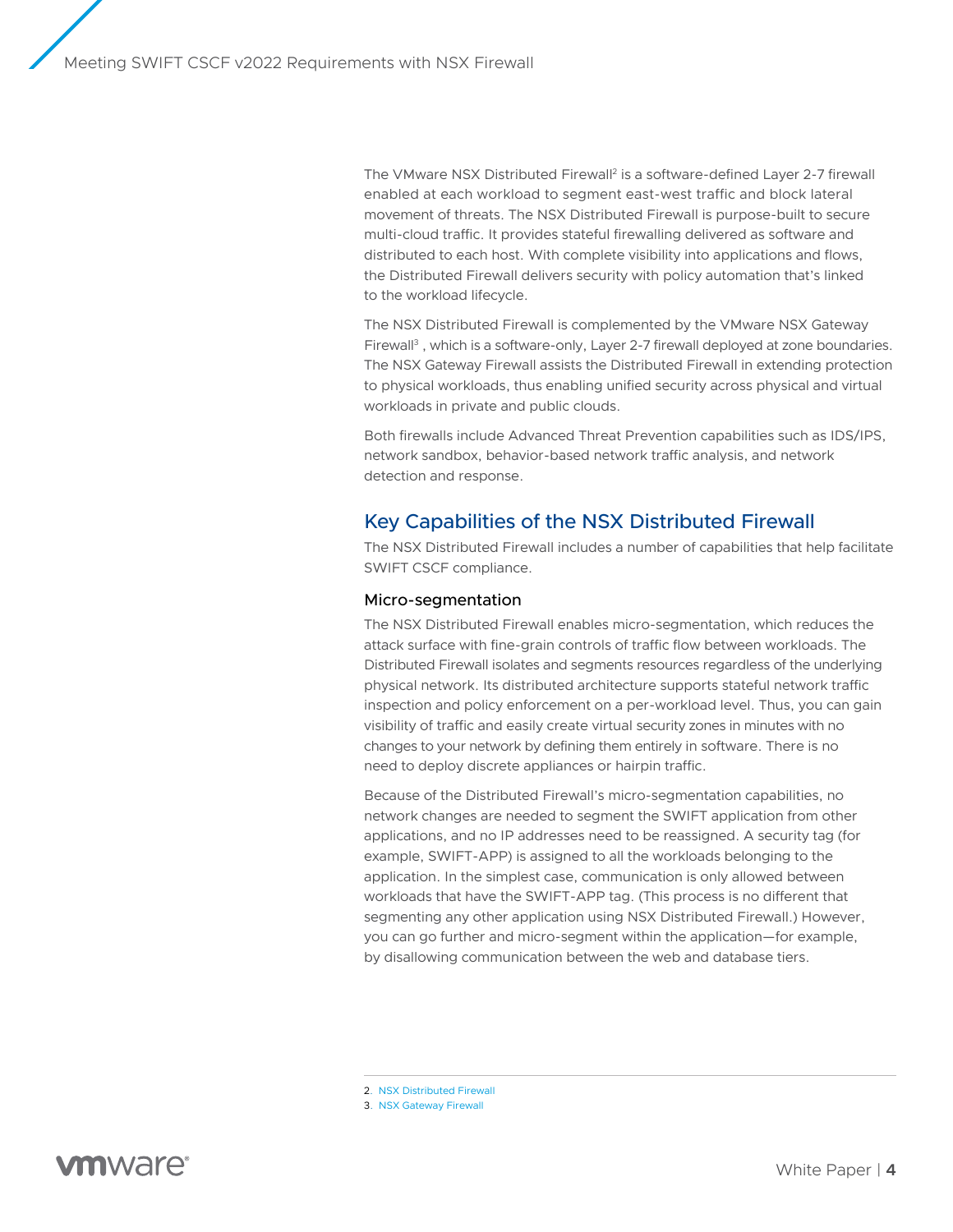<span id="page-3-0"></span>The VMware NSX Distributed Firewall<sup>2</sup> is a software-defined Layer 2-7 firewall enabled at each workload to segment east-west traffic and block lateral movement of threats. The NSX Distributed Firewall is purpose-built to secure multi-cloud traffic. It provides stateful firewalling delivered as software and distributed to each host. With complete visibility into applications and flows, the Distributed Firewall delivers security with policy automation that's linked to the workload lifecycle.

The NSX Distributed Firewall is complemented by the VMware NSX Gateway Firewall<sup>3</sup>, which is a software-only, Layer 2-7 firewall deployed at zone boundaries. The NSX Gateway Firewall assists the Distributed Firewall in extending protection to physical workloads, thus enabling unified security across physical and virtual workloads in private and public clouds.

Both firewalls include Advanced Threat Prevention capabilities such as IDS/IPS, network sandbox, behavior-based network traffic analysis, and network detection and response.

## Key Capabilities of the NSX Distributed Firewall

The NSX Distributed Firewall includes a number of capabilities that help facilitate SWIFT CSCF compliance.

### Micro-segmentation

The NSX Distributed Firewall enables micro-segmentation, which reduces the attack surface with fine-grain controls of traffic flow between workloads. The Distributed Firewall isolates and segments resources regardless of the underlying physical network. Its distributed architecture supports stateful network traffic inspection and policy enforcement on a per-workload level. Thus, you can gain visibility of traffic and easily create virtual security zones in minutes with no changes to your network by defining them entirely in software. There is no need to deploy discrete appliances or hairpin traffic.

Because of the Distributed Firewall's micro-segmentation capabilities, no network changes are needed to segment the SWIFT application from other applications, and no IP addresses need to be reassigned. A security tag (for example, SWIFT-APP) is assigned to all the workloads belonging to the application. In the simplest case, communication is only allowed between workloads that have the SWIFT-APP tag. (This process is no different that segmenting any other application using NSX Distributed Firewall.) However, you can go further and micro-segment within the application—for example, by disallowing communication between the web and database tiers.

- 2. [NSX Distributed Firewall](https://www.vmware.com/products/nsx-distributed-firewall.html)
- 3. [NSX Gateway Firewall](https://www.vmware.com/products/nsx-gateway-firewall.html)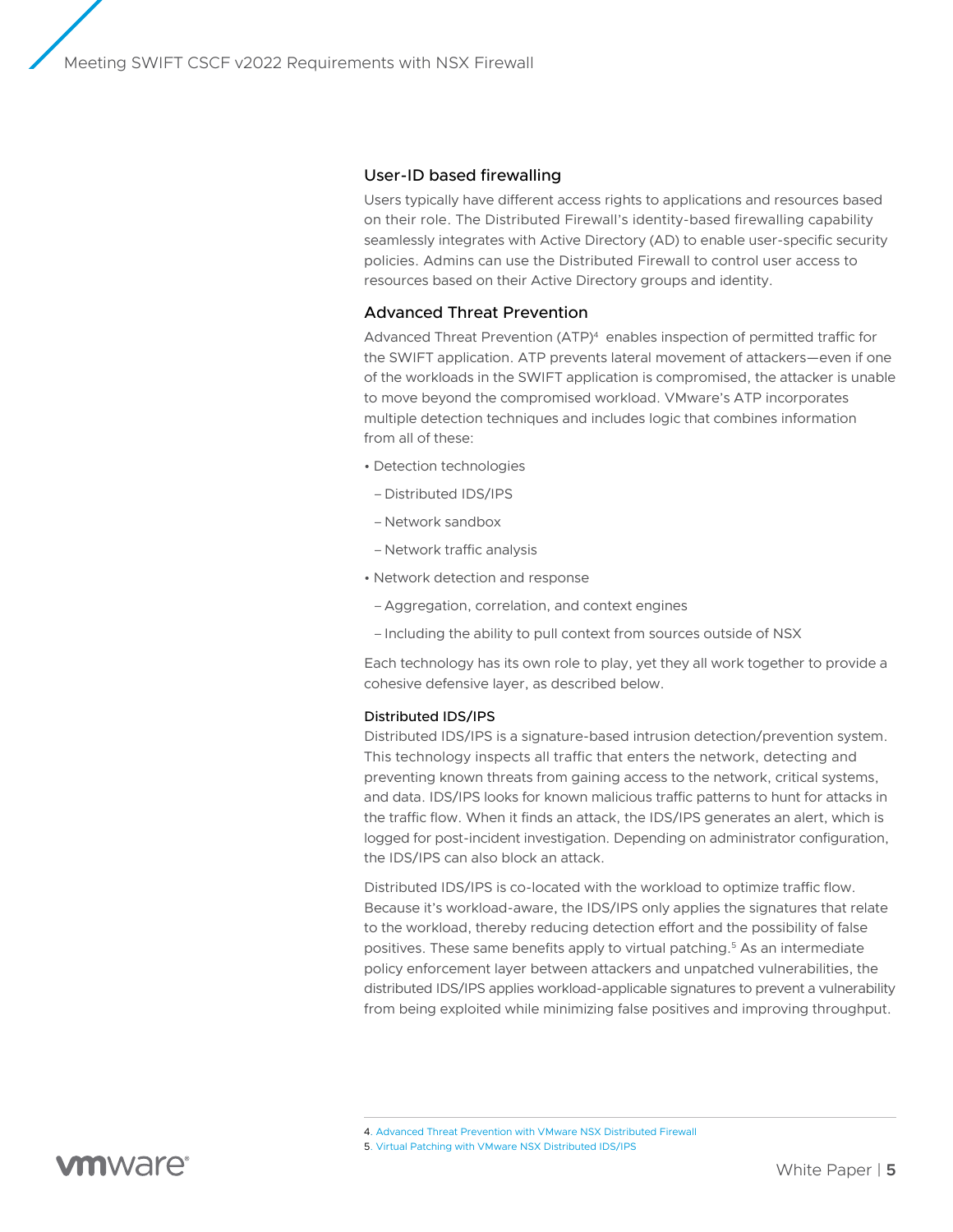#### User-ID based firewalling

Users typically have different access rights to applications and resources based on their role. The Distributed Firewall's identity-based firewalling capability seamlessly integrates with Active Directory (AD) to enable user-specific security policies. Admins can use the Distributed Firewall to control user access to resources based on their Active Directory groups and identity.

#### Advanced Threat Prevention

Advanced Threat Prevention (ATP)4 enables inspection of permitted traffic for the SWIFT application. ATP prevents lateral movement of attackers—even if one of the workloads in the SWIFT application is compromised, the attacker is unable to move beyond the compromised workload. VMware's ATP incorporates multiple detection techniques and includes logic that combines information from all of these:

- Detection technologies
- –Distributed IDS/IPS
- Network sandbox
- Network traffic analysis
- Network detection and response
- –Aggregation, correlation, and context engines
- –Including the ability to pull context from sources outside of NSX

Each technology has its own role to play, yet they all work together to provide a cohesive defensive layer, as described below.

### Distributed IDS/IPS

Distributed IDS/IPS is a signature-based intrusion detection/prevention system. This technology inspects all traffic that enters the network, detecting and preventing known threats from gaining access to the network, critical systems, and data. IDS/IPS looks for known malicious traffic patterns to hunt for attacks in the traffic flow. When it finds an attack, the IDS/IPS generates an alert, which is logged for post-incident investigation. Depending on administrator configuration, the IDS/IPS can also block an attack.

Distributed IDS/IPS is co-located with the workload to optimize traffic flow. Because it's workload-aware, the IDS/IPS only applies the signatures that relate to the workload, thereby reducing detection effort and the possibility of false positives. These same benefits apply to virtual patching. 5 As an intermediate policy enforcement layer between attackers and unpatched vulnerabilities, the distributed IDS/IPS applies workload-applicable signatures to prevent a vulnerability from being exploited while minimizing false positives and improving throughput.

4. [Advanced Threat Prevention with VMware NSX Distributed Firewall](https://www.vmware.com/content/dam/digitalmarketing/vmware/en/pdf/docs/vmware-advanced-threat-prevention-with-nsx-distributed-firewall.pdf)

5. [Virtual Patching with VMware NSX Distributed IDS/IPS](https://blogs.vmware.com/security/2020/11/virtual-patching-with-nsx-distributed-ids-ips.html)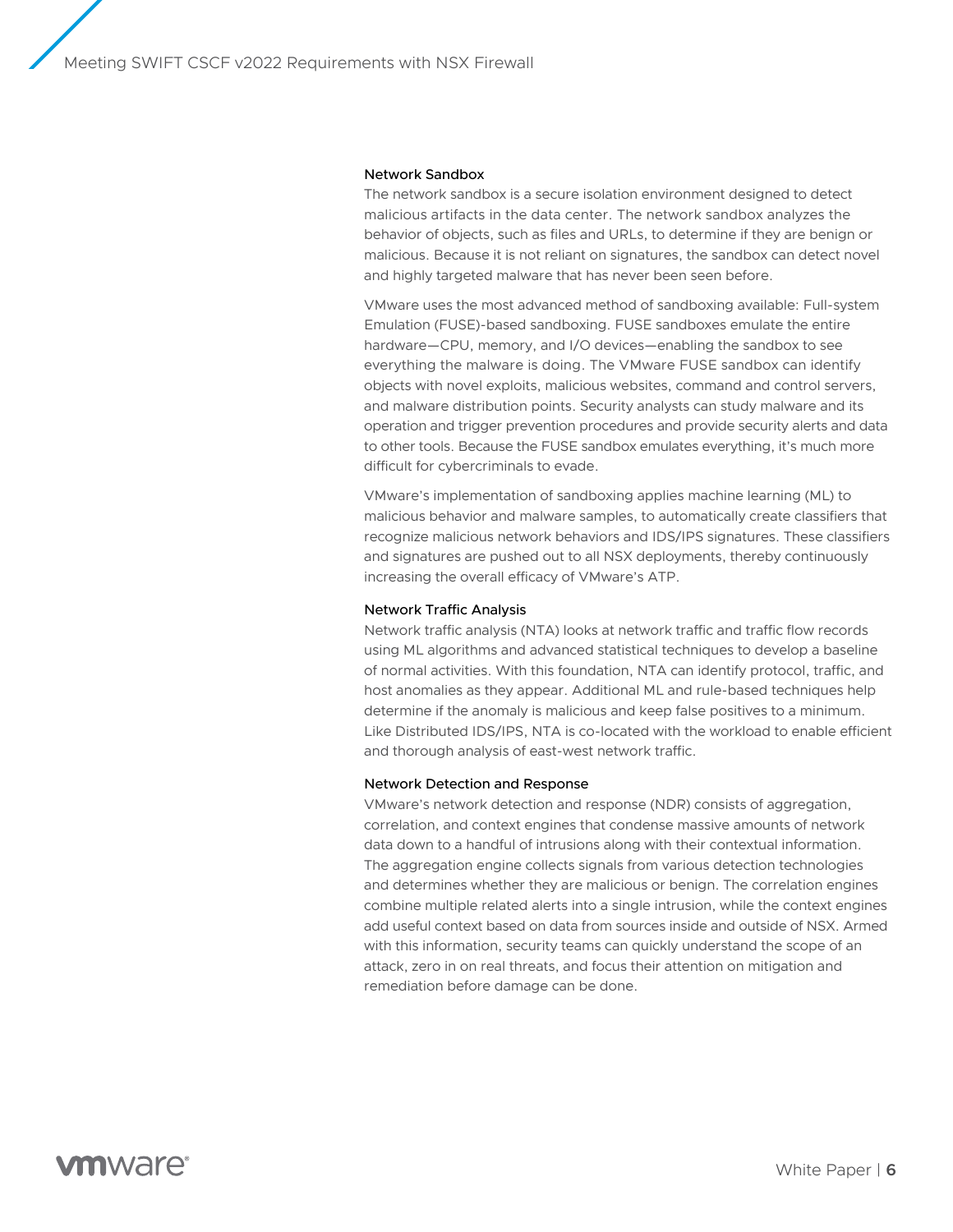#### Network Sandbox

The network sandbox is a secure isolation environment designed to detect malicious artifacts in the data center. The network sandbox analyzes the behavior of objects, such as files and URLs, to determine if they are benign or malicious. Because it is not reliant on signatures, the sandbox can detect novel and highly targeted malware that has never been seen before.

VMware uses the most advanced method of sandboxing available: Full-system Emulation (FUSE)-based sandboxing. FUSE sandboxes emulate the entire hardware—CPU, memory, and I/O devices—enabling the sandbox to see everything the malware is doing. The VMware FUSE sandbox can identify objects with novel exploits, malicious websites, command and control servers, and malware distribution points. Security analysts can study malware and its operation and trigger prevention procedures and provide security alerts and data to other tools. Because the FUSE sandbox emulates everything, it's much more difficult for cybercriminals to evade.

VMware's implementation of sandboxing applies machine learning (ML) to malicious behavior and malware samples, to automatically create classifiers that recognize malicious network behaviors and IDS/IPS signatures. These classifiers and signatures are pushed out to all NSX deployments, thereby continuously increasing the overall efficacy of VMware's ATP.

#### Network Traffic Analysis

Network traffic analysis (NTA) looks at network traffic and traffic flow records using ML algorithms and advanced statistical techniques to develop a baseline of normal activities. With this foundation, NTA can identify protocol, traffic, and host anomalies as they appear. Additional ML and rule-based techniques help determine if the anomaly is malicious and keep false positives to a minimum. Like Distributed IDS/IPS, NTA is co-located with the workload to enable efficient and thorough analysis of east-west network traffic.

#### Network Detection and Response

VMware's network detection and response (NDR) consists of aggregation, correlation, and context engines that condense massive amounts of network data down to a handful of intrusions along with their contextual information. The aggregation engine collects signals from various detection technologies and determines whether they are malicious or benign. The correlation engines combine multiple related alerts into a single intrusion, while the context engines add useful context based on data from sources inside and outside of NSX. Armed with this information, security teams can quickly understand the scope of an attack, zero in on real threats, and focus their attention on mitigation and remediation before damage can be done.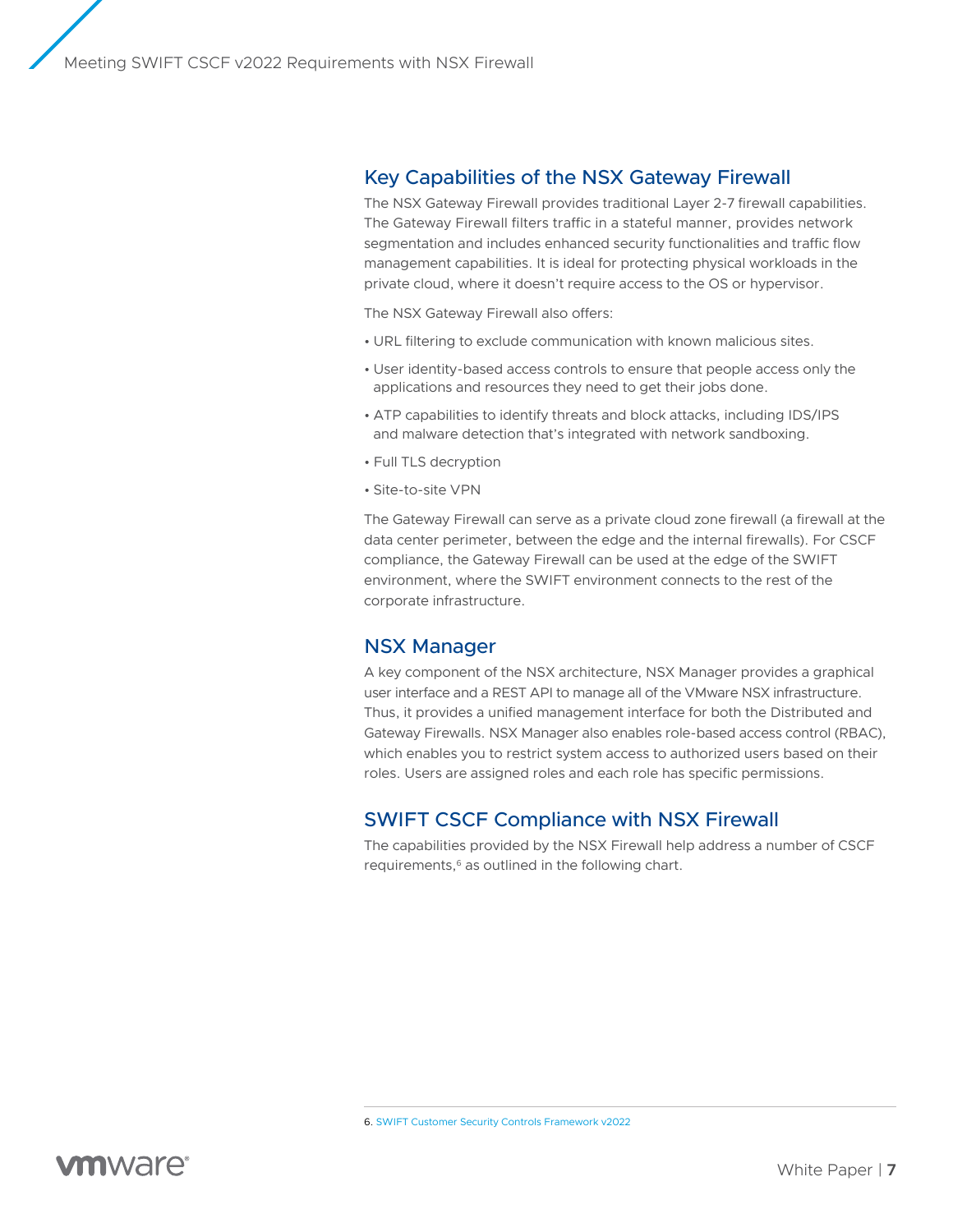### <span id="page-6-0"></span>Key Capabilities of the NSX Gateway Firewall

The NSX Gateway Firewall provides traditional Layer 2-7 firewall capabilities. The Gateway Firewall filters traffic in a stateful manner, provides network segmentation and includes enhanced security functionalities and traffic flow management capabilities. It is ideal for protecting physical workloads in the private cloud, where it doesn't require access to the OS or hypervisor.

The NSX Gateway Firewall also offers:

- URL filtering to exclude communication with known malicious sites.
- User identity-based access controls to ensure that people access only the applications and resources they need to get their jobs done.
- ATP capabilities to identify threats and block attacks, including IDS/IPS and malware detection that's integrated with network sandboxing.
- Full TLS decryption
- Site-to-site VPN

The Gateway Firewall can serve as a private cloud zone firewall (a firewall at the data center perimeter, between the edge and the internal firewalls). For CSCF compliance, the Gateway Firewall can be used at the edge of the SWIFT environment, where the SWIFT environment connects to the rest of the corporate infrastructure.

### NSX Manager

A key component of the NSX architecture, NSX Manager provides a graphical user interface and a REST API to manage all of the VMware NSX infrastructure. Thus, it provides a unified management interface for both the Distributed and Gateway Firewalls. NSX Manager also enables role-based access control (RBAC), which enables you to restrict system access to authorized users based on their roles. Users are assigned roles and each role has specific permissions.

### SWIFT CSCF Compliance with NSX Firewall

The capabilities provided by the NSX Firewall help address a number of CSCF requirements,<sup>6</sup> as outlined in the following chart.

6. [SWIFT Customer Security Controls Framework v2022](https://www.scribd.com/document/531135144/SWIFT-Customer-Security-Controls-Framework-v2022)

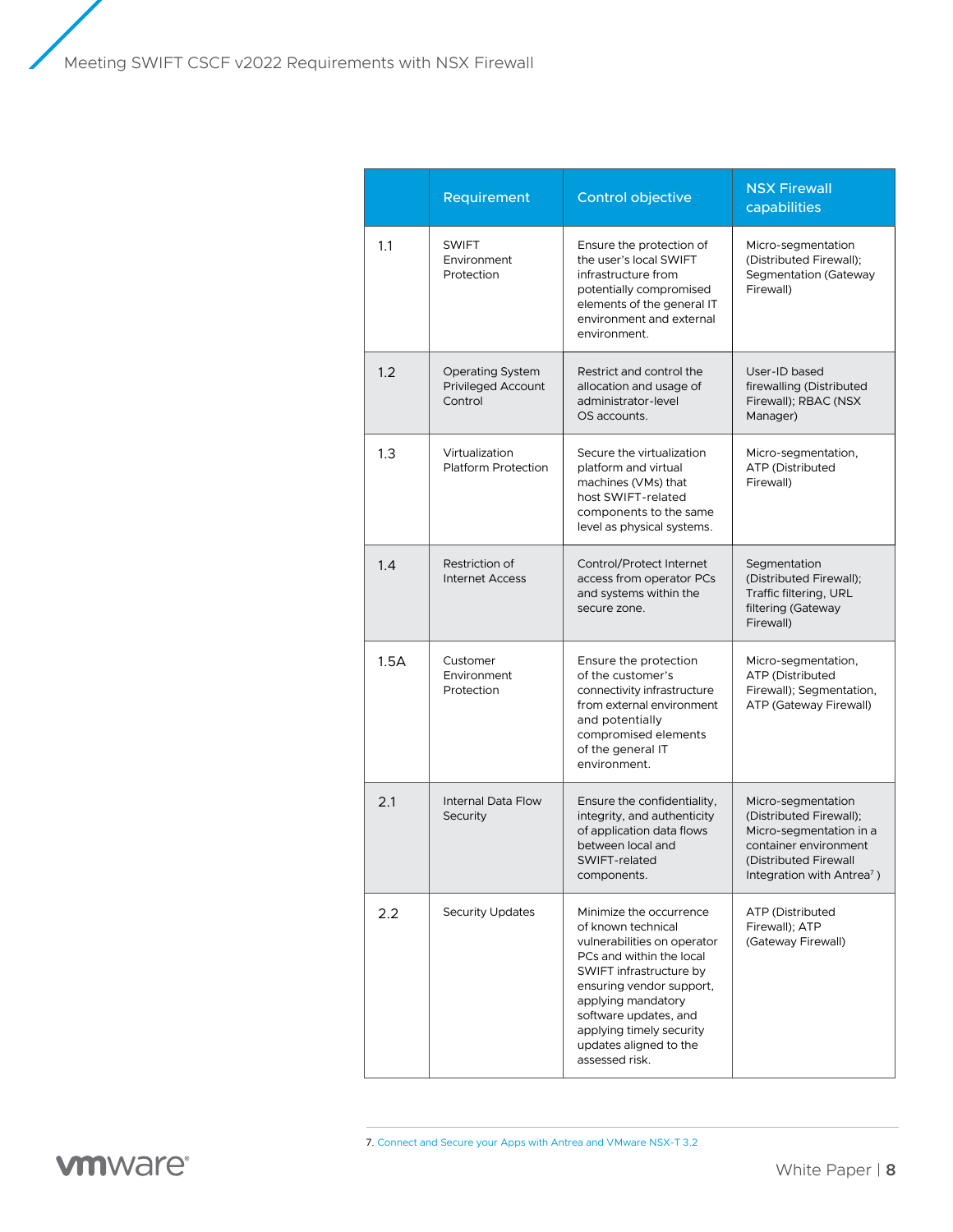Meeting SWIFT CSCF v2022 Requirements with NSX Firewall

|      | Requirement                                                     | Control objective                                                                                                                                                                                                                                                                      | <b>NSX Firewall</b><br>capabilities                                                                                                                                  |
|------|-----------------------------------------------------------------|----------------------------------------------------------------------------------------------------------------------------------------------------------------------------------------------------------------------------------------------------------------------------------------|----------------------------------------------------------------------------------------------------------------------------------------------------------------------|
| 1.1  | <b>SWIFT</b><br>Environment<br>Protection                       | Ensure the protection of<br>the user's local SWIFT<br>infrastructure from<br>potentially compromised<br>elements of the general IT<br>environment and external<br>environment.                                                                                                         | Micro-segmentation<br>(Distributed Firewall);<br>Segmentation (Gateway<br>Firewall)                                                                                  |
| 1.2  | <b>Operating System</b><br><b>Privileged Account</b><br>Control | Restrict and control the<br>allocation and usage of<br>administrator-level<br>OS accounts.                                                                                                                                                                                             | User-ID based<br>firewalling (Distributed<br>Firewall); RBAC (NSX<br>Manager)                                                                                        |
| 1.3  | Virtualization<br>Platform Protection                           | Secure the virtualization<br>platform and virtual<br>machines (VMs) that<br>host SWIFT-related<br>components to the same<br>level as physical systems.                                                                                                                                 | Micro-segmentation,<br>ATP (Distributed<br>Firewall)                                                                                                                 |
| 1.4  | Restriction of<br><b>Internet Access</b>                        | Control/Protect Internet<br>access from operator PCs<br>and systems within the<br>secure zone.                                                                                                                                                                                         | Segmentation<br>(Distributed Firewall);<br>Traffic filtering, URL<br>filtering (Gateway<br>Firewall)                                                                 |
| 1.5A | Customer<br>Environment<br>Protection                           | Ensure the protection<br>of the customer's<br>connectivity infrastructure<br>from external environment<br>and potentially<br>compromised elements<br>of the general IT<br>environment.                                                                                                 | Micro-segmentation,<br>ATP (Distributed<br>Firewall); Segmentation,<br>ATP (Gateway Firewall)                                                                        |
| 2.1  | Internal Data Flow<br>Security                                  | Ensure the confidentiality,<br>integrity, and authenticity<br>of application data flows<br>between local and<br>SWIFT-related<br>components.                                                                                                                                           | Micro-segmentation<br>(Distributed Firewall);<br>Micro-segmentation in a<br>container environment<br>(Distributed Firewall<br>Integration with Antrea <sup>7</sup> ) |
| 2.2  | <b>Security Updates</b>                                         | Minimize the occurrence<br>of known technical<br>vulnerabilities on operator<br>PCs and within the local<br>SWIFT infrastructure by<br>ensuring vendor support,<br>applying mandatory<br>software updates, and<br>applying timely security<br>updates aligned to the<br>assessed risk. | ATP (Distributed<br>Firewall); ATP<br>(Gateway Firewall)                                                                                                             |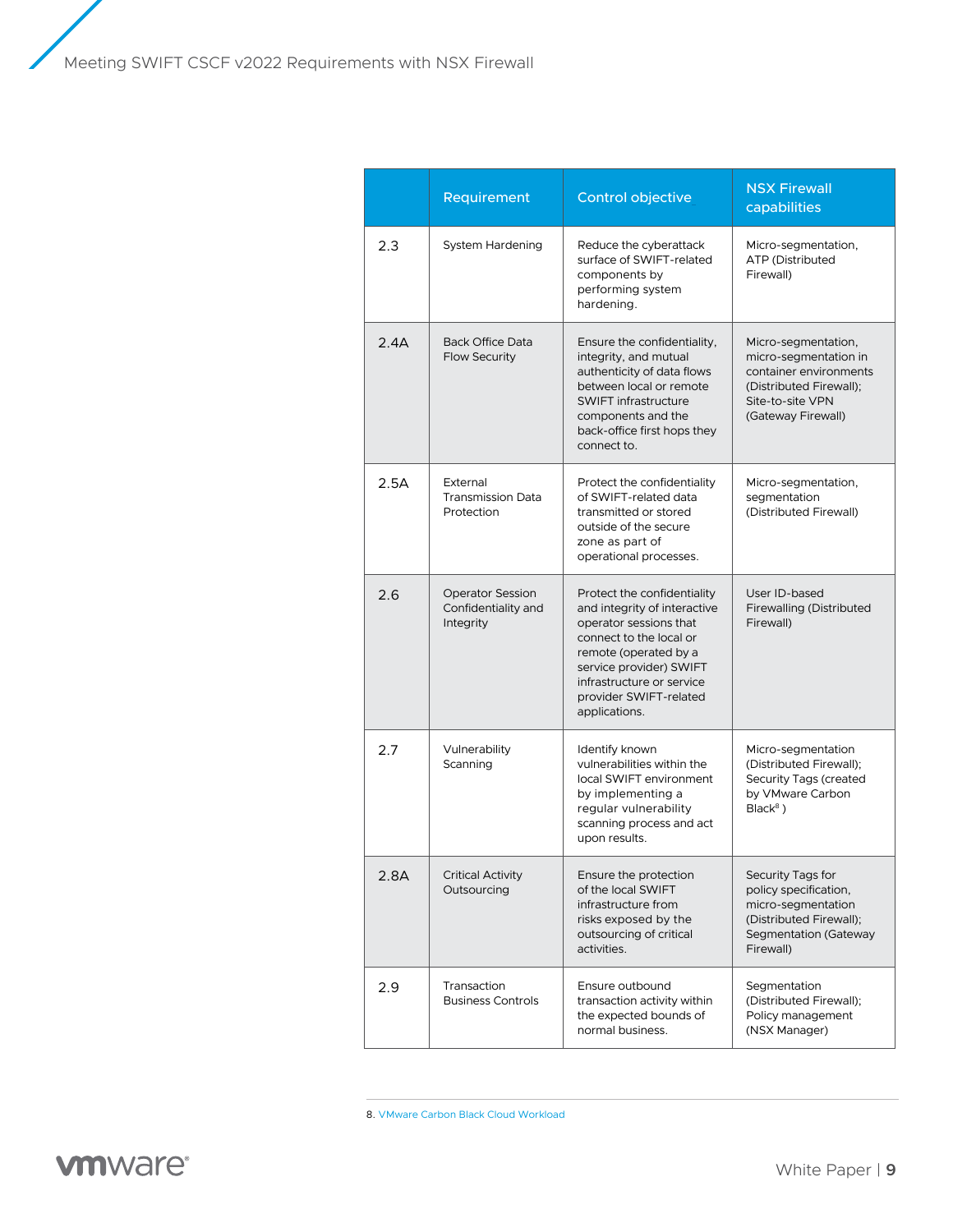Meeting SWIFT CSCF v2022 Requirements with NSX Firewall

|      | Requirement                                                 | Control objective                                                                                                                                                                                                                            | <b>NSX Firewall</b><br>capabilities                                                                                                         |
|------|-------------------------------------------------------------|----------------------------------------------------------------------------------------------------------------------------------------------------------------------------------------------------------------------------------------------|---------------------------------------------------------------------------------------------------------------------------------------------|
| 2.3  | System Hardening                                            | Reduce the cyberattack<br>surface of SWIFT-related<br>components by<br>performing system<br>hardening.                                                                                                                                       | Micro-segmentation,<br>ATP (Distributed<br>Firewall)                                                                                        |
| 2.4A | <b>Back Office Data</b><br><b>Flow Security</b>             | Ensure the confidentiality,<br>integrity, and mutual<br>authenticity of data flows<br>between local or remote<br><b>SWIFT infrastructure</b><br>components and the<br>back-office first hops they<br>connect to.                             | Micro-segmentation,<br>micro-segmentation in<br>container environments<br>(Distributed Firewall);<br>Site-to-site VPN<br>(Gateway Firewall) |
| 2.5A | External<br><b>Transmission Data</b><br>Protection          | Protect the confidentiality<br>of SWIFT-related data<br>transmitted or stored<br>outside of the secure<br>zone as part of<br>operational processes.                                                                                          | Micro-segmentation,<br>segmentation<br>(Distributed Firewall)                                                                               |
| 2.6  | <b>Operator Session</b><br>Confidentiality and<br>Integrity | Protect the confidentiality<br>and integrity of interactive<br>operator sessions that<br>connect to the local or<br>remote (operated by a<br>service provider) SWIFT<br>infrastructure or service<br>provider SWIFT-related<br>applications. | User ID-based<br><b>Firewalling (Distributed</b><br>Firewall)                                                                               |
| 2.7  | Vulnerability<br>Scanning                                   | Identify known<br>vulnerabilities within the<br>local SWIFT environment<br>by implementing a<br>regular vulnerability<br>scanning process and act<br>upon results.                                                                           | Micro-segmentation<br>(Distributed Firewall);<br>Security Tags (created<br>by VMware Carbon<br>$Black8$ )                                   |
| 2.8A | <b>Critical Activity</b><br>Outsourcing                     | Ensure the protection<br>of the local SWIFT<br>infrastructure from<br>risks exposed by the<br>outsourcing of critical<br>activities.                                                                                                         | Security Tags for<br>policy specification,<br>micro-segmentation<br>(Distributed Firewall);<br>Segmentation (Gateway<br>Firewall)           |
| 2.9  | Transaction<br><b>Business Controls</b>                     | Ensure outbound<br>transaction activity within<br>the expected bounds of<br>normal business.                                                                                                                                                 | Segmentation<br>(Distributed Firewall);<br>Policy management<br>(NSX Manager)                                                               |

8. [VMware Carbon Black Cloud Workload](https://www.vmware.com/products/carbon-black-cloud-workload.html)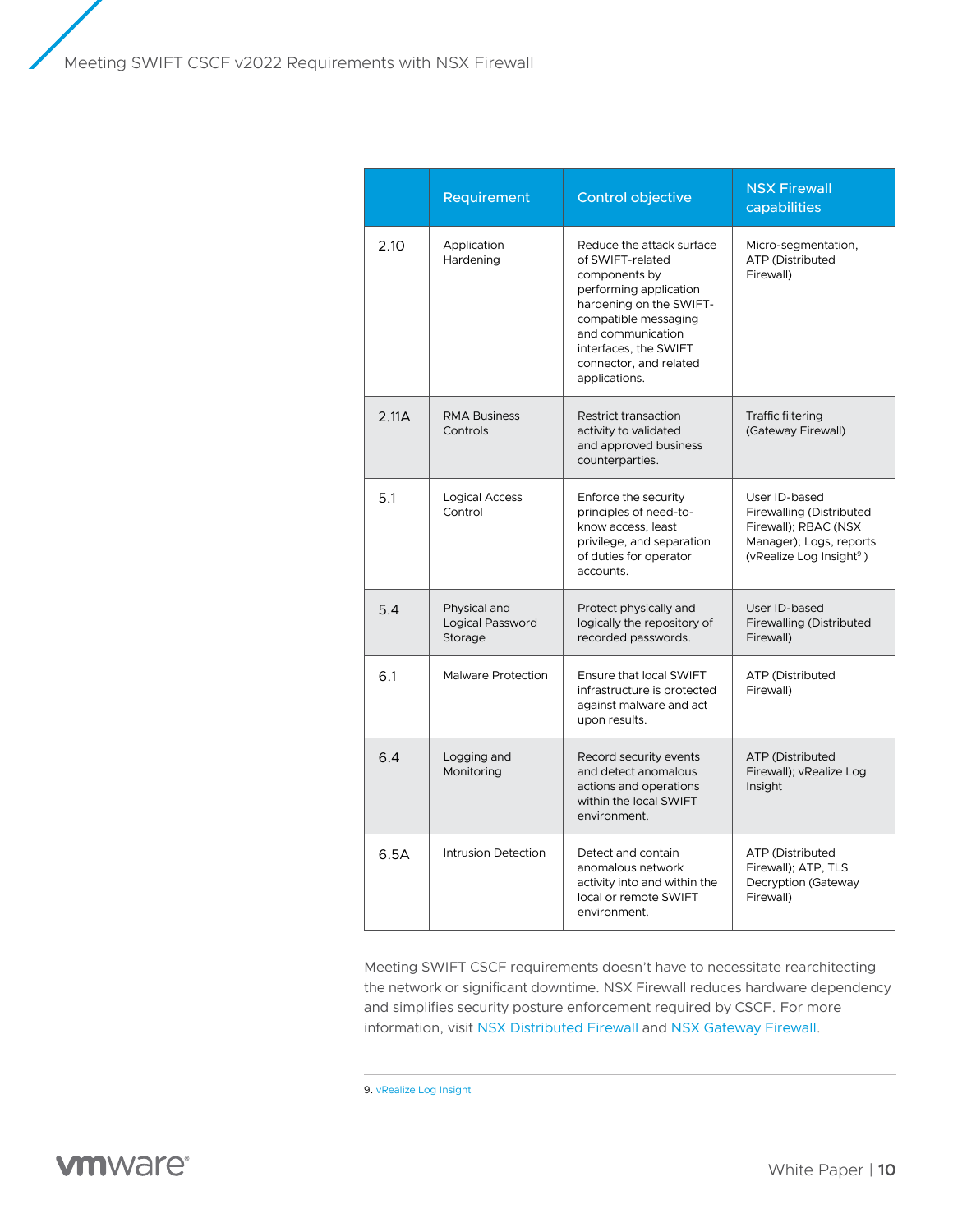|       | Requirement                                        | Control objective                                                                                                                                                                                                                    | <b>NSX Firewall</b><br>capabilities                                                                                                  |
|-------|----------------------------------------------------|--------------------------------------------------------------------------------------------------------------------------------------------------------------------------------------------------------------------------------------|--------------------------------------------------------------------------------------------------------------------------------------|
| 2.10  | Application<br>Hardening                           | Reduce the attack surface<br>of SWIFT-related<br>components by<br>performing application<br>hardening on the SWIFT-<br>compatible messaging<br>and communication<br>interfaces, the SWIFT<br>connector, and related<br>applications. | Micro-segmentation,<br>ATP (Distributed<br>Firewall)                                                                                 |
| 2.11A | <b>RMA Business</b><br>Controls                    | Restrict transaction<br>activity to validated<br>and approved business<br>counterparties.                                                                                                                                            | <b>Traffic filtering</b><br>(Gateway Firewall)                                                                                       |
| 5.1   | <b>Logical Access</b><br>Control                   | Enforce the security<br>principles of need-to-<br>know access, least<br>privilege, and separation<br>of duties for operator<br>accounts.                                                                                             | User ID-based<br>Firewalling (Distributed<br>Firewall); RBAC (NSX<br>Manager); Logs, reports<br>(vRealize Log Insight <sup>9</sup> ) |
| 5.4   | Physical and<br><b>Logical Password</b><br>Storage | Protect physically and<br>logically the repository of<br>recorded passwords.                                                                                                                                                         | User ID-based<br>Firewalling (Distributed<br>Firewall)                                                                               |
| 6.1   | <b>Malware Protection</b>                          | Ensure that local SWIFT<br>infrastructure is protected<br>against malware and act<br>upon results.                                                                                                                                   | ATP (Distributed<br>Firewall)                                                                                                        |
| 6.4   | Logging and<br>Monitoring                          | Record security events<br>and detect anomalous<br>actions and operations<br>within the local SWIFT<br>environment.                                                                                                                   | ATP (Distributed<br>Firewall); vRealize Log<br>Insight                                                                               |
| 6.5A  | Intrusion Detection                                | Detect and contain<br>anomalous network<br>activity into and within the<br>local or remote SWIFT<br>environment.                                                                                                                     | ATP (Distributed<br>Firewall); ATP, TLS<br>Decryption (Gateway<br>Firewall)                                                          |

Meeting SWIFT CSCF requirements doesn't have to necessitate rearchitecting the network or significant downtime. NSX Firewall reduces hardware dependency and simplifies security posture enforcement required by CSCF. For more information, visit [NSX Distributed Firewall](https://www.vmware.com/products/nsx-distributed-firewall.html) and [NSX Gateway Firewall.](https://www.vmware.com/products/nsx-gateway-firewall.html)

9. [vRealize Log Insight](https://www.vmware.com/products/vrealize-log-insight.html)